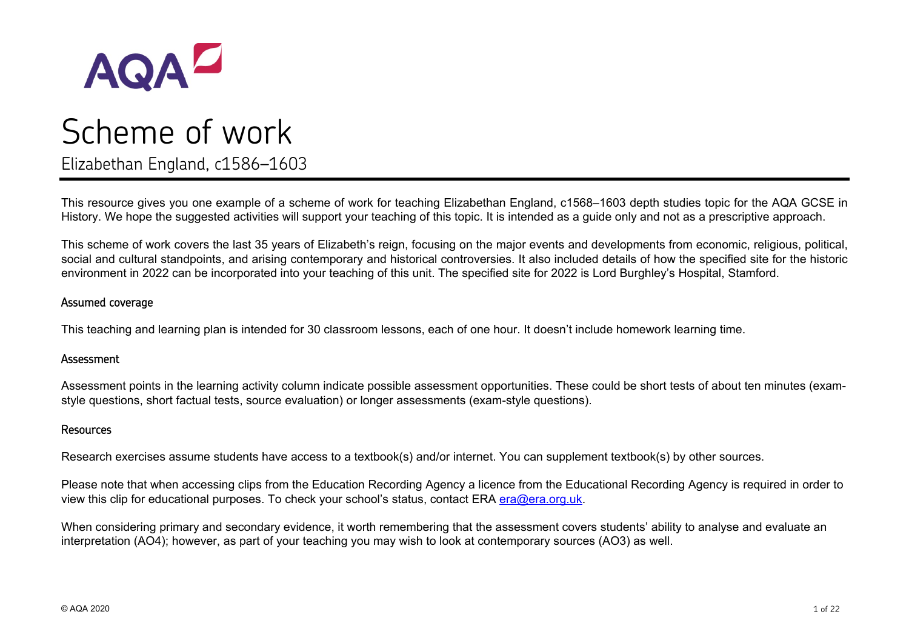

Elizabethan England, c1586–1603

This resource gives you one example of a scheme of work for teaching Elizabethan England, c1568–1603 depth studies topic for the AQA GCSE in History. We hope the suggested activities will support your teaching of this topic. It is intended as a guide only and not as a prescriptive approach.

This scheme of work covers the last 35 years of Elizabeth's reign, focusing on the major events and developments from economic, religious, political, social and cultural standpoints, and arising contemporary and historical controversies. It also included details of how the specified site for the historic environment in 2022 can be incorporated into your teaching of this unit. The specified site for 2022 is Lord Burghley's Hospital, Stamford.

#### Assumed coverage

This teaching and learning plan is intended for 30 classroom lessons, each of one hour. It doesn't include homework learning time.

#### Assessment

Assessment points in the learning activity column indicate possible assessment opportunities. These could be short tests of about ten minutes (examstyle questions, short factual tests, source evaluation) or longer assessments (exam-style questions).

#### Resources

Research exercises assume students have access to a textbook(s) and/or internet. You can supplement textbook(s) by other sources.

Please note that when accessing clips from the Education Recording Agency a licence from the Educational Recording Agency is required in order to view this clip for educational purposes. To check your school's status, contact ERA [era@era.org.uk.](mailto:era@era.org.uk)

When considering primary and secondary evidence, it worth remembering that the assessment covers students' ability to analyse and evaluate an interpretation (AO4); however, as part of your teaching you may wish to look at contemporary sources (AO3) as well.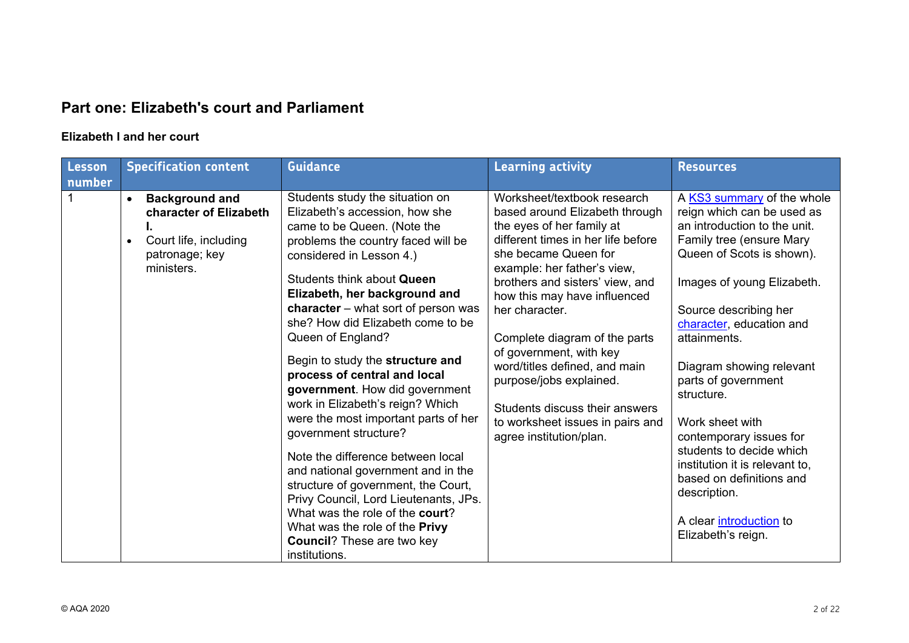## **Part one: Elizabeth's court and Parliament**

#### **Elizabeth I and her court**

| Lesson | <b>Specification content</b>                                                                                                       | <b>Guidance</b>                                                                                                                                                                                                                                                                                                                                                                                                                                                                                                                                                                                                                                                                                                                                                                                                                       | <b>Learning activity</b>                                                                                                                                                                                                                                                                                                                                                                                                                                                                              | <b>Resources</b>                                                                                                                                                                                                                                                                                                                                                                                                                                                                                                               |
|--------|------------------------------------------------------------------------------------------------------------------------------------|---------------------------------------------------------------------------------------------------------------------------------------------------------------------------------------------------------------------------------------------------------------------------------------------------------------------------------------------------------------------------------------------------------------------------------------------------------------------------------------------------------------------------------------------------------------------------------------------------------------------------------------------------------------------------------------------------------------------------------------------------------------------------------------------------------------------------------------|-------------------------------------------------------------------------------------------------------------------------------------------------------------------------------------------------------------------------------------------------------------------------------------------------------------------------------------------------------------------------------------------------------------------------------------------------------------------------------------------------------|--------------------------------------------------------------------------------------------------------------------------------------------------------------------------------------------------------------------------------------------------------------------------------------------------------------------------------------------------------------------------------------------------------------------------------------------------------------------------------------------------------------------------------|
| number |                                                                                                                                    |                                                                                                                                                                                                                                                                                                                                                                                                                                                                                                                                                                                                                                                                                                                                                                                                                                       |                                                                                                                                                                                                                                                                                                                                                                                                                                                                                                       |                                                                                                                                                                                                                                                                                                                                                                                                                                                                                                                                |
|        | <b>Background and</b><br>$\bullet$<br>character of Elizabeth<br>Court life, including<br>$\bullet$<br>patronage; key<br>ministers. | Students study the situation on<br>Elizabeth's accession, how she<br>came to be Queen. (Note the<br>problems the country faced will be<br>considered in Lesson 4.)<br>Students think about Queen<br>Elizabeth, her background and<br>character $-$ what sort of person was<br>she? How did Elizabeth come to be<br>Queen of England?<br>Begin to study the structure and<br>process of central and local<br>government. How did government<br>work in Elizabeth's reign? Which<br>were the most important parts of her<br>government structure?<br>Note the difference between local<br>and national government and in the<br>structure of government, the Court,<br>Privy Council, Lord Lieutenants, JPs.<br>What was the role of the court?<br>What was the role of the Privy<br><b>Council?</b> These are two key<br>institutions. | Worksheet/textbook research<br>based around Elizabeth through<br>the eyes of her family at<br>different times in her life before<br>she became Queen for<br>example: her father's view,<br>brothers and sisters' view, and<br>how this may have influenced<br>her character.<br>Complete diagram of the parts<br>of government, with key<br>word/titles defined, and main<br>purpose/jobs explained.<br>Students discuss their answers<br>to worksheet issues in pairs and<br>agree institution/plan. | A KS3 summary of the whole<br>reign which can be used as<br>an introduction to the unit.<br>Family tree (ensure Mary<br>Queen of Scots is shown).<br>Images of young Elizabeth.<br>Source describing her<br>character, education and<br>attainments.<br>Diagram showing relevant<br>parts of government<br>structure.<br>Work sheet with<br>contemporary issues for<br>students to decide which<br>institution it is relevant to,<br>based on definitions and<br>description.<br>A clear introduction to<br>Elizabeth's reign. |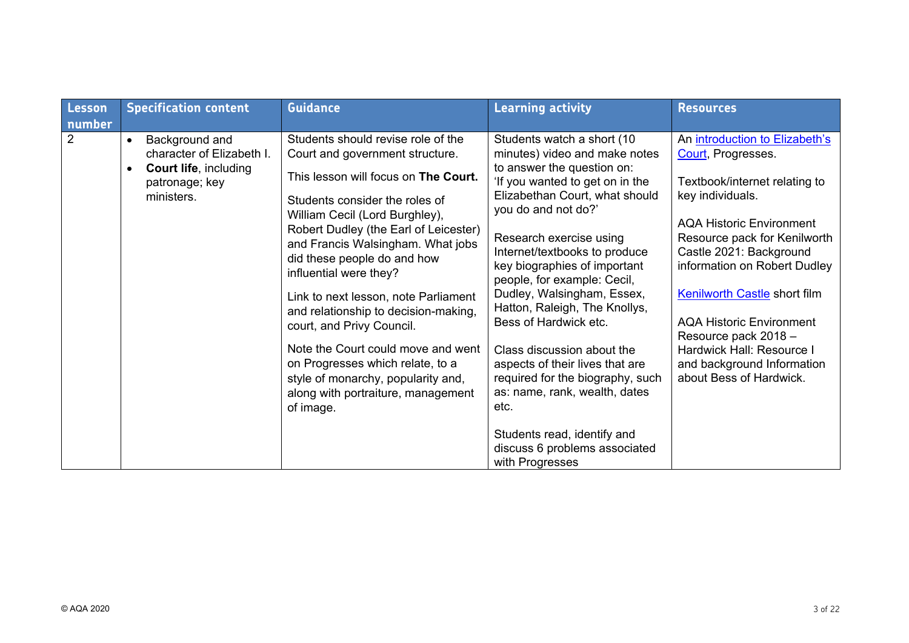| Lesson<br>number | <b>Specification content</b>                                                                                                          | <b>Guidance</b>                                                                                                                                                                                                                                                                                                                                                                                                                                                                                                                                                                                          | <b>Learning activity</b>                                                                                                                                                                                                                                                                                                                                                                                                                                                                                                                                                                                                                  | <b>Resources</b>                                                                                                                                                                                                                                                                                                                                                                                                                |
|------------------|---------------------------------------------------------------------------------------------------------------------------------------|----------------------------------------------------------------------------------------------------------------------------------------------------------------------------------------------------------------------------------------------------------------------------------------------------------------------------------------------------------------------------------------------------------------------------------------------------------------------------------------------------------------------------------------------------------------------------------------------------------|-------------------------------------------------------------------------------------------------------------------------------------------------------------------------------------------------------------------------------------------------------------------------------------------------------------------------------------------------------------------------------------------------------------------------------------------------------------------------------------------------------------------------------------------------------------------------------------------------------------------------------------------|---------------------------------------------------------------------------------------------------------------------------------------------------------------------------------------------------------------------------------------------------------------------------------------------------------------------------------------------------------------------------------------------------------------------------------|
| $\overline{2}$   | Background and<br>$\bullet$<br>character of Elizabeth I.<br><b>Court life, including</b><br>$\bullet$<br>patronage; key<br>ministers. | Students should revise role of the<br>Court and government structure.<br>This lesson will focus on The Court.<br>Students consider the roles of<br>William Cecil (Lord Burghley),<br>Robert Dudley (the Earl of Leicester)<br>and Francis Walsingham. What jobs<br>did these people do and how<br>influential were they?<br>Link to next lesson, note Parliament<br>and relationship to decision-making,<br>court, and Privy Council.<br>Note the Court could move and went<br>on Progresses which relate, to a<br>style of monarchy, popularity and,<br>along with portraiture, management<br>of image. | Students watch a short (10<br>minutes) video and make notes<br>to answer the question on:<br>'If you wanted to get on in the<br>Elizabethan Court, what should<br>you do and not do?'<br>Research exercise using<br>Internet/textbooks to produce<br>key biographies of important<br>people, for example: Cecil,<br>Dudley, Walsingham, Essex,<br>Hatton, Raleigh, The Knollys,<br>Bess of Hardwick etc.<br>Class discussion about the<br>aspects of their lives that are<br>required for the biography, such<br>as: name, rank, wealth, dates<br>etc.<br>Students read, identify and<br>discuss 6 problems associated<br>with Progresses | An introduction to Elizabeth's<br>Court, Progresses.<br>Textbook/internet relating to<br>key individuals.<br><b>AQA Historic Environment</b><br>Resource pack for Kenilworth<br>Castle 2021: Background<br>information on Robert Dudley<br><b>Kenilworth Castle short film</b><br><b>AQA Historic Environment</b><br>Resource pack 2018 -<br>Hardwick Hall: Resource I<br>and background Information<br>about Bess of Hardwick. |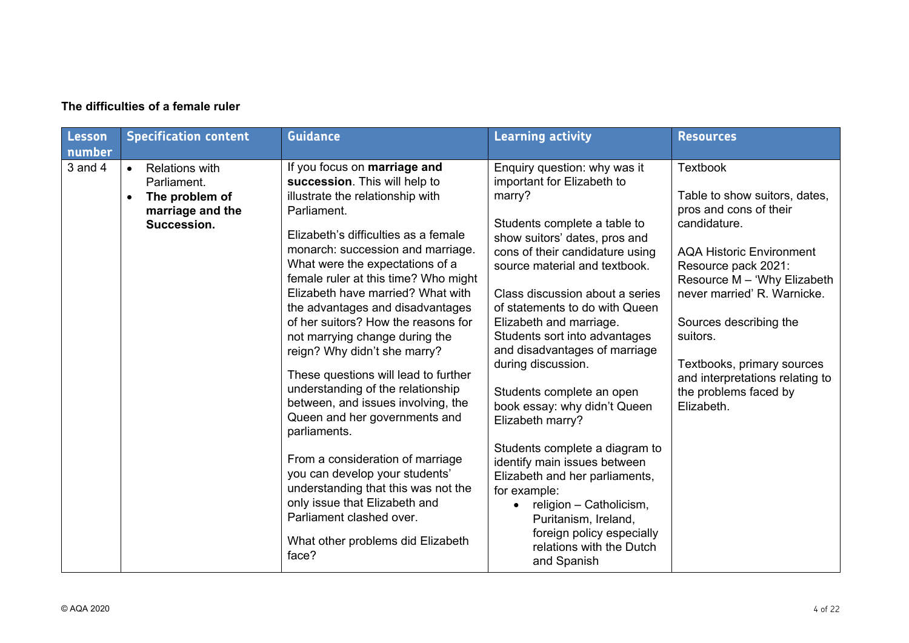| <b>Lesson</b><br>number | <b>Specification content</b>                                                                                        | <b>Guidance</b>                                                                                                                                                                                                                                                                                                                                                                                                                                                                                                                                                                                                                                                                                                                                                                                                                                        | <b>Learning activity</b>                                                                                                                                                                                                                                                                                                                                                                                                                                                                                                                                                                                                                                                                                                                       | <b>Resources</b>                                                                                                                                                                                                                                                                                                                                                 |
|-------------------------|---------------------------------------------------------------------------------------------------------------------|--------------------------------------------------------------------------------------------------------------------------------------------------------------------------------------------------------------------------------------------------------------------------------------------------------------------------------------------------------------------------------------------------------------------------------------------------------------------------------------------------------------------------------------------------------------------------------------------------------------------------------------------------------------------------------------------------------------------------------------------------------------------------------------------------------------------------------------------------------|------------------------------------------------------------------------------------------------------------------------------------------------------------------------------------------------------------------------------------------------------------------------------------------------------------------------------------------------------------------------------------------------------------------------------------------------------------------------------------------------------------------------------------------------------------------------------------------------------------------------------------------------------------------------------------------------------------------------------------------------|------------------------------------------------------------------------------------------------------------------------------------------------------------------------------------------------------------------------------------------------------------------------------------------------------------------------------------------------------------------|
| $3$ and $4$             | <b>Relations with</b><br>$\bullet$<br>Parliament.<br>The problem of<br>$\bullet$<br>marriage and the<br>Succession. | If you focus on marriage and<br>succession. This will help to<br>illustrate the relationship with<br>Parliament.<br>Elizabeth's difficulties as a female<br>monarch: succession and marriage.<br>What were the expectations of a<br>female ruler at this time? Who might<br>Elizabeth have married? What with<br>the advantages and disadvantages<br>of her suitors? How the reasons for<br>not marrying change during the<br>reign? Why didn't she marry?<br>These questions will lead to further<br>understanding of the relationship<br>between, and issues involving, the<br>Queen and her governments and<br>parliaments.<br>From a consideration of marriage<br>you can develop your students'<br>understanding that this was not the<br>only issue that Elizabeth and<br>Parliament clashed over.<br>What other problems did Elizabeth<br>face? | Enquiry question: why was it<br>important for Elizabeth to<br>marry?<br>Students complete a table to<br>show suitors' dates, pros and<br>cons of their candidature using<br>source material and textbook.<br>Class discussion about a series<br>of statements to do with Queen<br>Elizabeth and marriage.<br>Students sort into advantages<br>and disadvantages of marriage<br>during discussion.<br>Students complete an open<br>book essay: why didn't Queen<br>Elizabeth marry?<br>Students complete a diagram to<br>identify main issues between<br>Elizabeth and her parliaments,<br>for example:<br>religion - Catholicism,<br>$\bullet$<br>Puritanism, Ireland,<br>foreign policy especially<br>relations with the Dutch<br>and Spanish | <b>Textbook</b><br>Table to show suitors, dates,<br>pros and cons of their<br>candidature.<br><b>AQA Historic Environment</b><br>Resource pack 2021:<br>Resource M - 'Why Elizabeth<br>never married' R. Warnicke.<br>Sources describing the<br>suitors.<br>Textbooks, primary sources<br>and interpretations relating to<br>the problems faced by<br>Elizabeth. |

#### **The difficulties of a female ruler**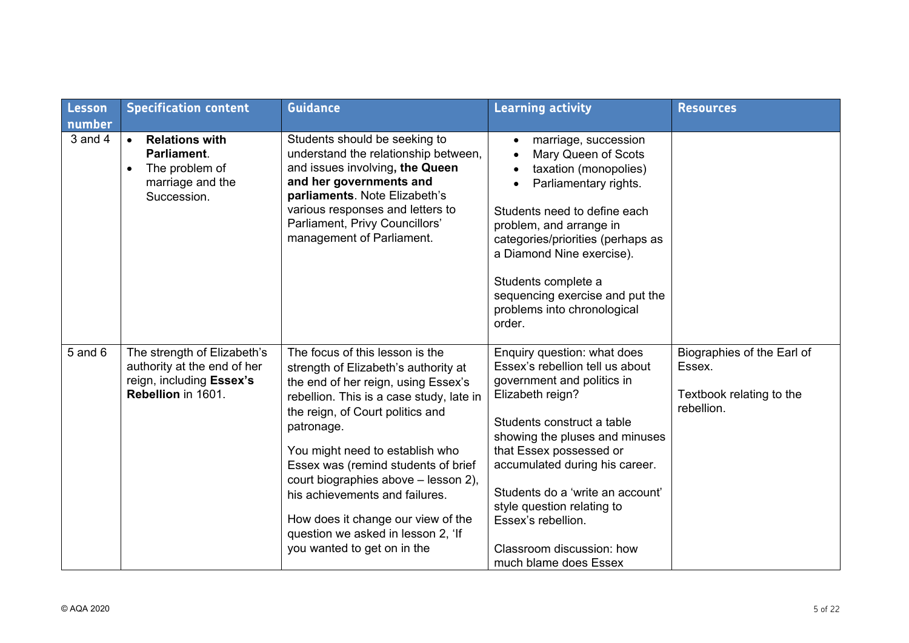| <b>Lesson</b><br>number | <b>Specification content</b>                                                                                        | <b>Guidance</b>                                                                                                                                                                                                                                                                                                                                                                                                                                                             | <b>Learning activity</b>                                                                                                                                                                                                                                                                                                                                                                    | <b>Resources</b>                                                               |
|-------------------------|---------------------------------------------------------------------------------------------------------------------|-----------------------------------------------------------------------------------------------------------------------------------------------------------------------------------------------------------------------------------------------------------------------------------------------------------------------------------------------------------------------------------------------------------------------------------------------------------------------------|---------------------------------------------------------------------------------------------------------------------------------------------------------------------------------------------------------------------------------------------------------------------------------------------------------------------------------------------------------------------------------------------|--------------------------------------------------------------------------------|
| 3 and 4                 | <b>Relations with</b><br>$\bullet$<br>Parliament.<br>The problem of<br>$\bullet$<br>marriage and the<br>Succession. | Students should be seeking to<br>understand the relationship between,<br>and issues involving, the Queen<br>and her governments and<br>parliaments. Note Elizabeth's<br>various responses and letters to<br>Parliament, Privy Councillors'<br>management of Parliament.                                                                                                                                                                                                     | marriage, succession<br>Mary Queen of Scots<br>taxation (monopolies)<br>Parliamentary rights.<br>Students need to define each<br>problem, and arrange in<br>categories/priorities (perhaps as<br>a Diamond Nine exercise).<br>Students complete a<br>sequencing exercise and put the<br>problems into chronological<br>order.                                                               |                                                                                |
| $5$ and $6$             | The strength of Elizabeth's<br>authority at the end of her<br>reign, including Essex's<br>Rebellion in 1601.        | The focus of this lesson is the<br>strength of Elizabeth's authority at<br>the end of her reign, using Essex's<br>rebellion. This is a case study, late in<br>the reign, of Court politics and<br>patronage.<br>You might need to establish who<br>Essex was (remind students of brief<br>court biographies above - lesson 2),<br>his achievements and failures.<br>How does it change our view of the<br>question we asked in lesson 2, 'If<br>you wanted to get on in the | Enquiry question: what does<br>Essex's rebellion tell us about<br>government and politics in<br>Elizabeth reign?<br>Students construct a table<br>showing the pluses and minuses<br>that Essex possessed or<br>accumulated during his career.<br>Students do a 'write an account'<br>style question relating to<br>Essex's rebellion.<br>Classroom discussion: how<br>much blame does Essex | Biographies of the Earl of<br>Essex.<br>Textbook relating to the<br>rebellion. |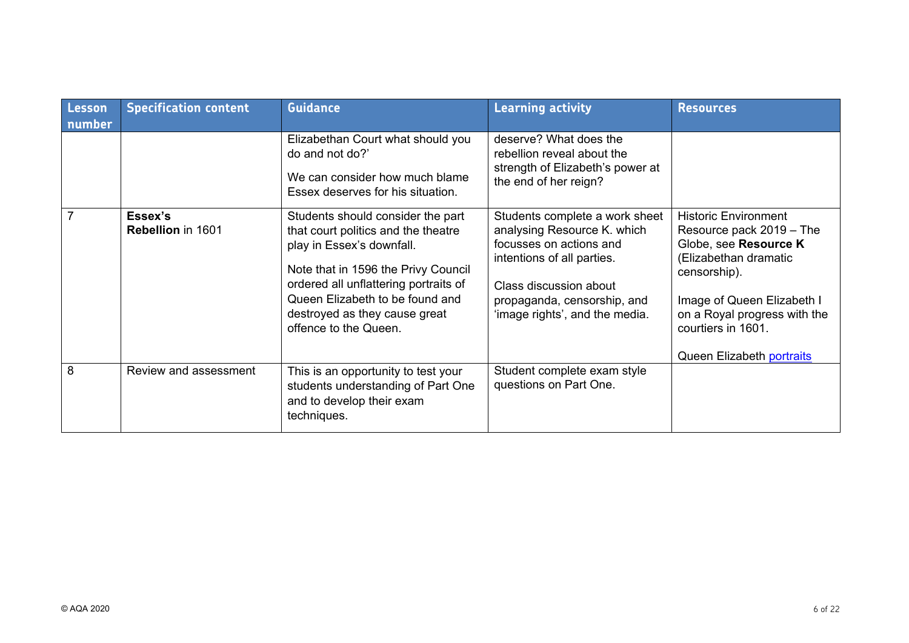| <b>Lesson</b><br>number | <b>Specification content</b>        | <b>Guidance</b>                                                                                                                                                                                                                                                                    | <b>Learning activity</b>                                                                                                                                                                                          | <b>Resources</b>                                                                                                                                                                                                                           |
|-------------------------|-------------------------------------|------------------------------------------------------------------------------------------------------------------------------------------------------------------------------------------------------------------------------------------------------------------------------------|-------------------------------------------------------------------------------------------------------------------------------------------------------------------------------------------------------------------|--------------------------------------------------------------------------------------------------------------------------------------------------------------------------------------------------------------------------------------------|
|                         |                                     | Elizabethan Court what should you<br>do and not do?'<br>We can consider how much blame<br>Essex deserves for his situation.                                                                                                                                                        | deserve? What does the<br>rebellion reveal about the<br>strength of Elizabeth's power at<br>the end of her reign?                                                                                                 |                                                                                                                                                                                                                                            |
|                         | Essex's<br><b>Rebellion</b> in 1601 | Students should consider the part<br>that court politics and the theatre<br>play in Essex's downfall.<br>Note that in 1596 the Privy Council<br>ordered all unflattering portraits of<br>Queen Elizabeth to be found and<br>destroyed as they cause great<br>offence to the Queen. | Students complete a work sheet<br>analysing Resource K. which<br>focusses on actions and<br>intentions of all parties.<br>Class discussion about<br>propaganda, censorship, and<br>'image rights', and the media. | <b>Historic Environment</b><br>Resource pack 2019 - The<br>Globe, see Resource K<br>(Elizabethan dramatic<br>censorship).<br>Image of Queen Elizabeth I<br>on a Royal progress with the<br>courtiers in 1601.<br>Queen Elizabeth portraits |
| 8                       | Review and assessment               | This is an opportunity to test your<br>students understanding of Part One<br>and to develop their exam<br>techniques.                                                                                                                                                              | Student complete exam style<br>questions on Part One.                                                                                                                                                             |                                                                                                                                                                                                                                            |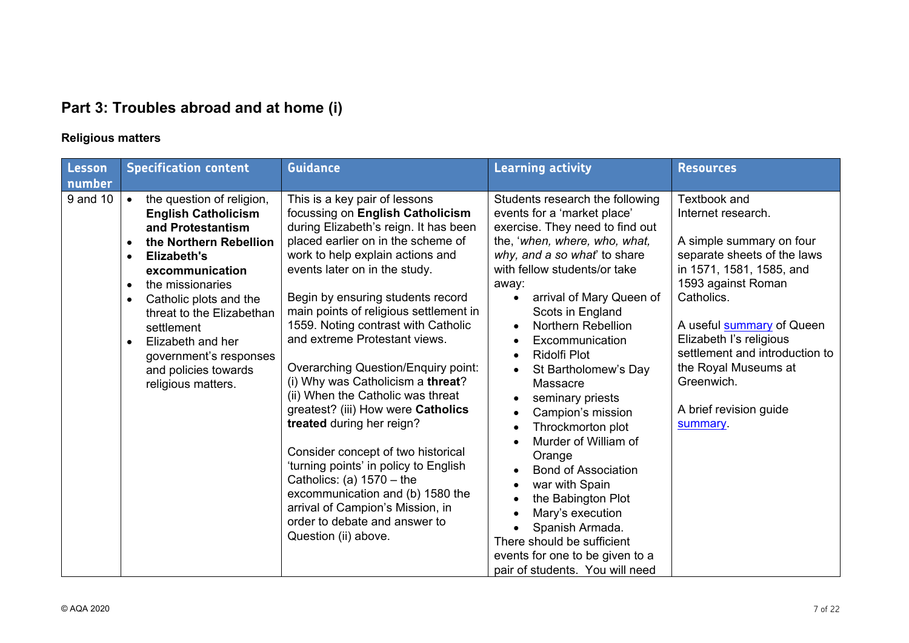# **Part 3: Troubles abroad and at home (i)**

### **Religious matters**

| Lesson   | <b>Specification content</b>                                                                                                                                                                                                                                                                                                                                                                           | <b>Guidance</b>                                                                                                                                                                                                                                                                                                                                                                                                                                                                                                                                                                                                                                                                                                                                                                                                        | <b>Learning activity</b>                                                                                                                                                                                                                                                                                                                                                                                                                                                                                                                                                                                                                                                                                                                          | <b>Resources</b>                                                                                                                                                                                                                                                                                                                           |
|----------|--------------------------------------------------------------------------------------------------------------------------------------------------------------------------------------------------------------------------------------------------------------------------------------------------------------------------------------------------------------------------------------------------------|------------------------------------------------------------------------------------------------------------------------------------------------------------------------------------------------------------------------------------------------------------------------------------------------------------------------------------------------------------------------------------------------------------------------------------------------------------------------------------------------------------------------------------------------------------------------------------------------------------------------------------------------------------------------------------------------------------------------------------------------------------------------------------------------------------------------|---------------------------------------------------------------------------------------------------------------------------------------------------------------------------------------------------------------------------------------------------------------------------------------------------------------------------------------------------------------------------------------------------------------------------------------------------------------------------------------------------------------------------------------------------------------------------------------------------------------------------------------------------------------------------------------------------------------------------------------------------|--------------------------------------------------------------------------------------------------------------------------------------------------------------------------------------------------------------------------------------------------------------------------------------------------------------------------------------------|
| number   |                                                                                                                                                                                                                                                                                                                                                                                                        |                                                                                                                                                                                                                                                                                                                                                                                                                                                                                                                                                                                                                                                                                                                                                                                                                        |                                                                                                                                                                                                                                                                                                                                                                                                                                                                                                                                                                                                                                                                                                                                                   |                                                                                                                                                                                                                                                                                                                                            |
| 9 and 10 | the question of religion,<br><b>English Catholicism</b><br>and Protestantism<br>the Northern Rebellion<br>$\bullet$<br><b>Elizabeth's</b><br>$\bullet$<br>excommunication<br>the missionaries<br>$\bullet$<br>Catholic plots and the<br>$\bullet$<br>threat to the Elizabethan<br>settlement<br>Elizabeth and her<br>$\bullet$<br>government's responses<br>and policies towards<br>religious matters. | This is a key pair of lessons<br>focussing on English Catholicism<br>during Elizabeth's reign. It has been<br>placed earlier on in the scheme of<br>work to help explain actions and<br>events later on in the study.<br>Begin by ensuring students record<br>main points of religious settlement in<br>1559. Noting contrast with Catholic<br>and extreme Protestant views.<br><b>Overarching Question/Enquiry point:</b><br>(i) Why was Catholicism a threat?<br>(ii) When the Catholic was threat<br>greatest? (iii) How were Catholics<br>treated during her reign?<br>Consider concept of two historical<br>'turning points' in policy to English<br>Catholics: (a) $1570 -$ the<br>excommunication and (b) 1580 the<br>arrival of Campion's Mission, in<br>order to debate and answer to<br>Question (ii) above. | Students research the following<br>events for a 'market place'<br>exercise. They need to find out<br>the, 'when, where, who, what,<br>why, and a so what' to share<br>with fellow students/or take<br>away:<br>arrival of Mary Queen of<br>Scots in England<br>Northern Rebellion<br>$\bullet$<br>Excommunication<br><b>Ridolfi Plot</b><br>St Bartholomew's Day<br>Massacre<br>seminary priests<br>Campion's mission<br>$\bullet$<br>Throckmorton plot<br>$\bullet$<br>Murder of William of<br>Orange<br><b>Bond of Association</b><br>war with Spain<br>$\bullet$<br>the Babington Plot<br>$\bullet$<br>Mary's execution<br>Spanish Armada.<br>There should be sufficient<br>events for one to be given to a<br>pair of students. You will need | Textbook and<br>Internet research.<br>A simple summary on four<br>separate sheets of the laws<br>in 1571, 1581, 1585, and<br>1593 against Roman<br>Catholics.<br>A useful <b>summary</b> of Queen<br>Elizabeth I's religious<br>settlement and introduction to<br>the Royal Museums at<br>Greenwich.<br>A brief revision guide<br>summary. |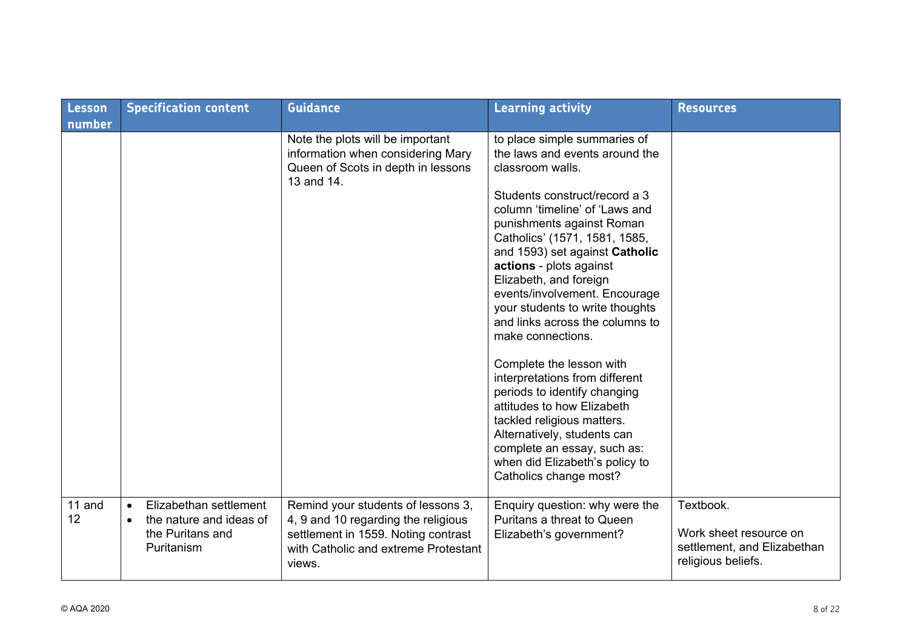| Lesson<br>number | <b>Specification content</b>                                                                                  | <b>Guidance</b>                                                                                                                                                    | <b>Learning activity</b>                                                                                                                                                                                                                                                                                                                                                                                                                                                                                                                                                                                                                                                                                                   | <b>Resources</b>                                                                         |
|------------------|---------------------------------------------------------------------------------------------------------------|--------------------------------------------------------------------------------------------------------------------------------------------------------------------|----------------------------------------------------------------------------------------------------------------------------------------------------------------------------------------------------------------------------------------------------------------------------------------------------------------------------------------------------------------------------------------------------------------------------------------------------------------------------------------------------------------------------------------------------------------------------------------------------------------------------------------------------------------------------------------------------------------------------|------------------------------------------------------------------------------------------|
|                  |                                                                                                               | Note the plots will be important<br>information when considering Mary<br>Queen of Scots in depth in lessons<br>13 and 14.                                          | to place simple summaries of<br>the laws and events around the<br>classroom walls.<br>Students construct/record a 3<br>column 'timeline' of 'Laws and<br>punishments against Roman<br>Catholics' (1571, 1581, 1585,<br>and 1593) set against Catholic<br>actions - plots against<br>Elizabeth, and foreign<br>events/involvement. Encourage<br>your students to write thoughts<br>and links across the columns to<br>make connections.<br>Complete the lesson with<br>interpretations from different<br>periods to identify changing<br>attitudes to how Elizabeth<br>tackled religious matters.<br>Alternatively, students can<br>complete an essay, such as:<br>when did Elizabeth's policy to<br>Catholics change most? |                                                                                          |
| 11 and<br>12     | Elizabethan settlement<br>$\bullet$<br>the nature and ideas of<br>$\bullet$<br>the Puritans and<br>Puritanism | Remind your students of lessons 3,<br>4, 9 and 10 regarding the religious<br>settlement in 1559. Noting contrast<br>with Catholic and extreme Protestant<br>views. | Enquiry question: why were the<br>Puritans a threat to Queen<br>Elizabeth's government?                                                                                                                                                                                                                                                                                                                                                                                                                                                                                                                                                                                                                                    | Textbook.<br>Work sheet resource on<br>settlement, and Elizabethan<br>religious beliefs. |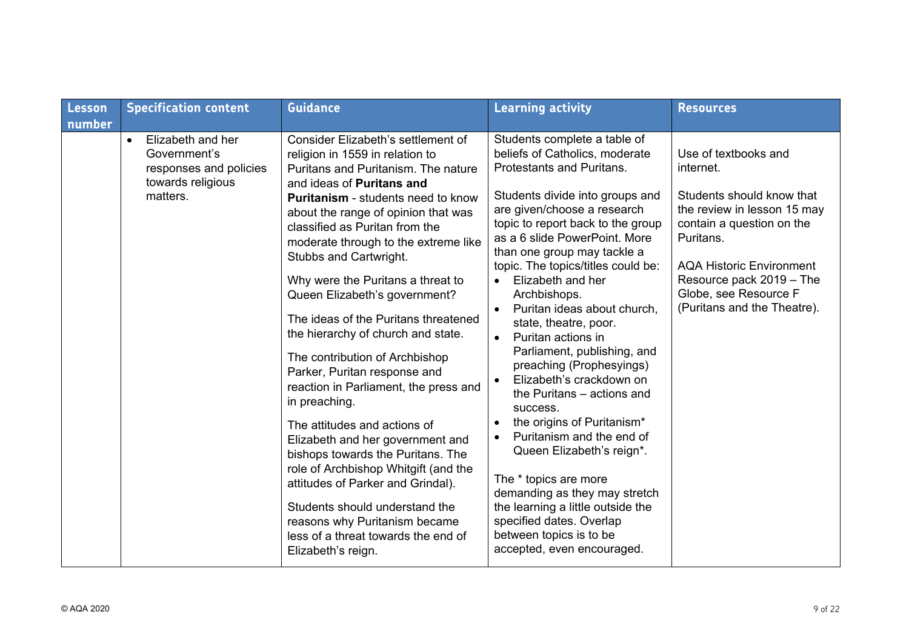| Lesson<br>number | <b>Specification content</b>                                                                              | <b>Guidance</b>                                                                                                                                                                                                                                                                                                                                                                                                                                                                                                                                                                                                                                                                                                                                                                                                                                                                                                                         | <b>Learning activity</b>                                                                                                                                                                                                                                                                                                                                                                                                                                                                                                                                                                                                                                                                                                                                                                                                                                                               | <b>Resources</b>                                                                                                                                                                                                                                               |
|------------------|-----------------------------------------------------------------------------------------------------------|-----------------------------------------------------------------------------------------------------------------------------------------------------------------------------------------------------------------------------------------------------------------------------------------------------------------------------------------------------------------------------------------------------------------------------------------------------------------------------------------------------------------------------------------------------------------------------------------------------------------------------------------------------------------------------------------------------------------------------------------------------------------------------------------------------------------------------------------------------------------------------------------------------------------------------------------|----------------------------------------------------------------------------------------------------------------------------------------------------------------------------------------------------------------------------------------------------------------------------------------------------------------------------------------------------------------------------------------------------------------------------------------------------------------------------------------------------------------------------------------------------------------------------------------------------------------------------------------------------------------------------------------------------------------------------------------------------------------------------------------------------------------------------------------------------------------------------------------|----------------------------------------------------------------------------------------------------------------------------------------------------------------------------------------------------------------------------------------------------------------|
|                  | Elizabeth and her<br>$\bullet$<br>Government's<br>responses and policies<br>towards religious<br>matters. | Consider Elizabeth's settlement of<br>religion in 1559 in relation to<br>Puritans and Puritanism. The nature<br>and ideas of Puritans and<br><b>Puritanism</b> - students need to know<br>about the range of opinion that was<br>classified as Puritan from the<br>moderate through to the extreme like<br>Stubbs and Cartwright.<br>Why were the Puritans a threat to<br>Queen Elizabeth's government?<br>The ideas of the Puritans threatened<br>the hierarchy of church and state.<br>The contribution of Archbishop<br>Parker, Puritan response and<br>reaction in Parliament, the press and<br>in preaching.<br>The attitudes and actions of<br>Elizabeth and her government and<br>bishops towards the Puritans. The<br>role of Archbishop Whitgift (and the<br>attitudes of Parker and Grindal).<br>Students should understand the<br>reasons why Puritanism became<br>less of a threat towards the end of<br>Elizabeth's reign. | Students complete a table of<br>beliefs of Catholics, moderate<br><b>Protestants and Puritans.</b><br>Students divide into groups and<br>are given/choose a research<br>topic to report back to the group<br>as a 6 slide PowerPoint. More<br>than one group may tackle a<br>topic. The topics/titles could be:<br>Elizabeth and her<br>Archbishops.<br>Puritan ideas about church,<br>$\bullet$<br>state, theatre, poor.<br>Puritan actions in<br>$\bullet$<br>Parliament, publishing, and<br>preaching (Prophesyings)<br>Elizabeth's crackdown on<br>the Puritans - actions and<br>success.<br>the origins of Puritanism*<br>Puritanism and the end of<br>$\bullet$<br>Queen Elizabeth's reign*.<br>The * topics are more<br>demanding as they may stretch<br>the learning a little outside the<br>specified dates. Overlap<br>between topics is to be<br>accepted, even encouraged. | Use of textbooks and<br>internet.<br>Students should know that<br>the review in lesson 15 may<br>contain a question on the<br>Puritans.<br><b>AQA Historic Environment</b><br>Resource pack 2019 - The<br>Globe, see Resource F<br>(Puritans and the Theatre). |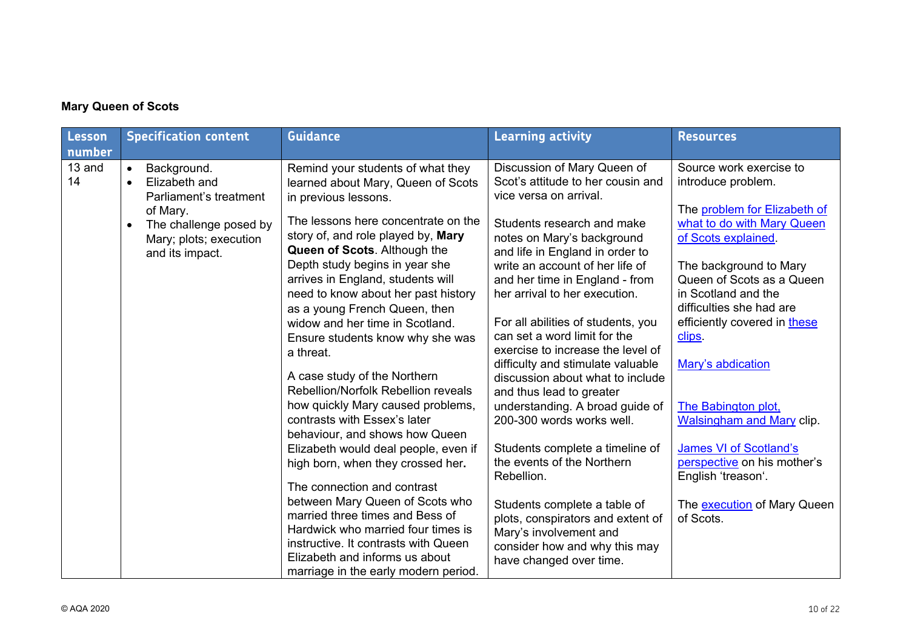#### **Mary Queen of Scots**

| 13 and<br>Discussion of Mary Queen of<br>Source work exercise to<br>Background.<br>Remind your students of what they<br>$\bullet$<br>14<br>Scot's attitude to her cousin and<br>Elizabeth and<br>introduce problem.<br>learned about Mary, Queen of Scots<br>$\bullet$<br>vice versa on arrival.<br>Parliament's treatment<br>in previous lessons.<br>of Mary.<br>The lessons here concentrate on the<br>Students research and make<br>The challenge posed by<br>$\bullet$<br>story of, and role played by, Mary<br>of Scots explained.<br>notes on Mary's background<br>Mary; plots; execution<br>Queen of Scots. Although the<br>and life in England in order to<br>and its impact.<br>Depth study begins in year she<br>write an account of her life of<br>The background to Mary<br>arrives in England, students will<br>and her time in England - from<br>in Scotland and the<br>need to know about her past history<br>her arrival to her execution.<br>difficulties she had are<br>as a young French Queen, then<br>For all abilities of students, you<br>widow and her time in Scotland.<br>can set a word limit for the<br>clips.<br>Ensure students know why she was<br>exercise to increase the level of<br>a threat.<br>Mary's abdication<br>difficulty and stimulate valuable<br>A case study of the Northern<br>discussion about what to include<br>Rebellion/Norfolk Rebellion reveals<br>and thus lead to greater<br>how quickly Mary caused problems,<br>understanding. A broad guide of<br><b>The Babington plot,</b><br>contrasts with Essex's later<br>200-300 words works well.<br>behaviour, and shows how Queen<br><b>James VI of Scotland's</b><br>Students complete a timeline of<br>Elizabeth would deal people, even if<br>the events of the Northern<br>high born, when they crossed her.<br>Rebellion.<br>English 'treason'.<br>The connection and contrast | Lesson | <b>Specification content</b> | <b>Guidance</b> | <b>Learning activity</b> | <b>Resources</b>                                                                                                                                                                                                          |
|------------------------------------------------------------------------------------------------------------------------------------------------------------------------------------------------------------------------------------------------------------------------------------------------------------------------------------------------------------------------------------------------------------------------------------------------------------------------------------------------------------------------------------------------------------------------------------------------------------------------------------------------------------------------------------------------------------------------------------------------------------------------------------------------------------------------------------------------------------------------------------------------------------------------------------------------------------------------------------------------------------------------------------------------------------------------------------------------------------------------------------------------------------------------------------------------------------------------------------------------------------------------------------------------------------------------------------------------------------------------------------------------------------------------------------------------------------------------------------------------------------------------------------------------------------------------------------------------------------------------------------------------------------------------------------------------------------------------------------------------------------------------------------------------------------------------------------------------------------------------------------------|--------|------------------------------|-----------------|--------------------------|---------------------------------------------------------------------------------------------------------------------------------------------------------------------------------------------------------------------------|
| between Mary Queen of Scots who<br>Students complete a table of<br>married three times and Bess of<br>of Scots.<br>plots, conspirators and extent of<br>Hardwick who married four times is<br>Mary's involvement and<br>instructive. It contrasts with Queen                                                                                                                                                                                                                                                                                                                                                                                                                                                                                                                                                                                                                                                                                                                                                                                                                                                                                                                                                                                                                                                                                                                                                                                                                                                                                                                                                                                                                                                                                                                                                                                                                             | number |                              |                 |                          | The problem for Elizabeth of<br>what to do with Mary Queen<br>Queen of Scots as a Queen<br>efficiently covered in these<br><b>Walsingham and Mary clip.</b><br>perspective on his mother's<br>The execution of Mary Queen |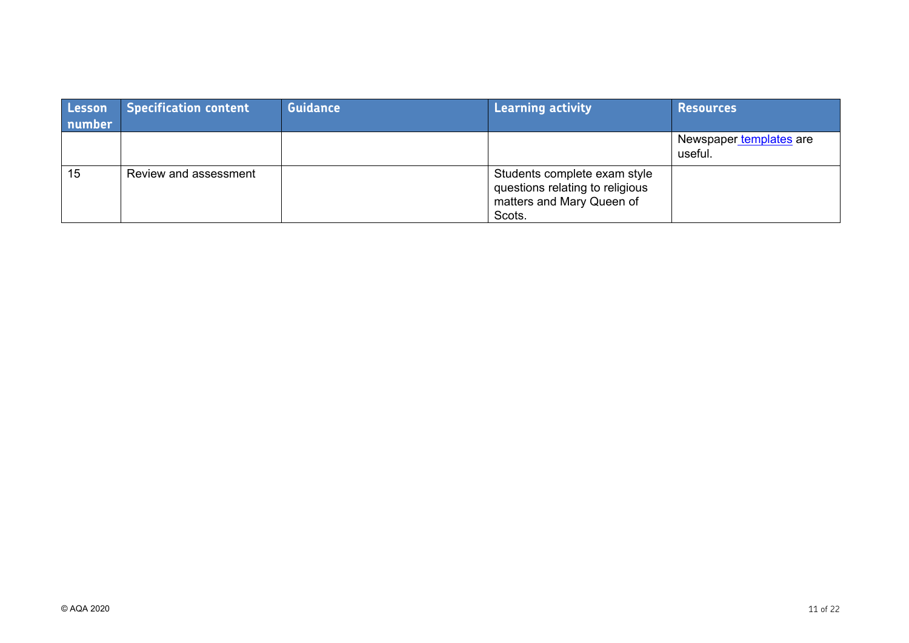| Lesson<br>number | <b>Specification content</b> | <b>Guidance</b> | Learning activity                                                                                      | <b>Resources</b>                   |
|------------------|------------------------------|-----------------|--------------------------------------------------------------------------------------------------------|------------------------------------|
|                  |                              |                 |                                                                                                        | Newspaper templates are<br>useful. |
| 15               | Review and assessment        |                 | Students complete exam style<br>questions relating to religious<br>matters and Mary Queen of<br>Scots. |                                    |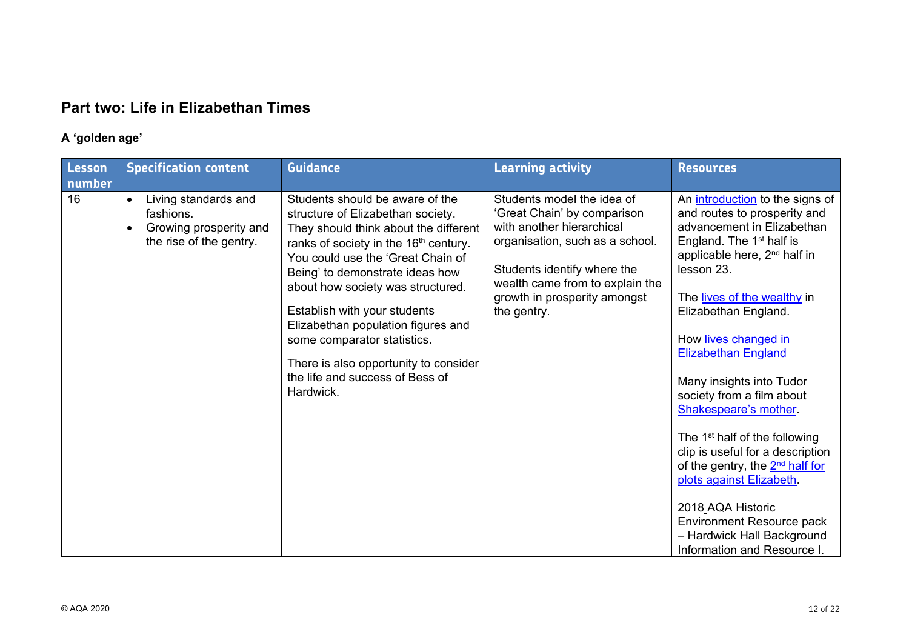# **Part two: Life in Elizabethan Times**

## **A 'golden age'**

| Lesson<br>number | <b>Specification content</b>                                                                                     | <b>Guidance</b>                                                                                                                                                                                                                                                                                                                                                                                                                                                               | <b>Learning activity</b>                                                                                                                                                                                                                   | <b>Resources</b>                                                                                                                                                                                                                                                                                                                                                                                                                                                                                                                                                                                                                                                                 |
|------------------|------------------------------------------------------------------------------------------------------------------|-------------------------------------------------------------------------------------------------------------------------------------------------------------------------------------------------------------------------------------------------------------------------------------------------------------------------------------------------------------------------------------------------------------------------------------------------------------------------------|--------------------------------------------------------------------------------------------------------------------------------------------------------------------------------------------------------------------------------------------|----------------------------------------------------------------------------------------------------------------------------------------------------------------------------------------------------------------------------------------------------------------------------------------------------------------------------------------------------------------------------------------------------------------------------------------------------------------------------------------------------------------------------------------------------------------------------------------------------------------------------------------------------------------------------------|
| 16               | Living standards and<br>$\bullet$<br>fashions.<br>Growing prosperity and<br>$\bullet$<br>the rise of the gentry. | Students should be aware of the<br>structure of Elizabethan society.<br>They should think about the different<br>ranks of society in the 16 <sup>th</sup> century.<br>You could use the 'Great Chain of<br>Being' to demonstrate ideas how<br>about how society was structured.<br>Establish with your students<br>Elizabethan population figures and<br>some comparator statistics.<br>There is also opportunity to consider<br>the life and success of Bess of<br>Hardwick. | Students model the idea of<br>'Great Chain' by comparison<br>with another hierarchical<br>organisation, such as a school.<br>Students identify where the<br>wealth came from to explain the<br>growth in prosperity amongst<br>the gentry. | An <i>introduction</i> to the signs of<br>and routes to prosperity and<br>advancement in Elizabethan<br>England. The 1 <sup>st</sup> half is<br>applicable here, 2 <sup>nd</sup> half in<br>lesson 23.<br>The lives of the wealthy in<br>Elizabethan England.<br>How lives changed in<br><b>Elizabethan England</b><br>Many insights into Tudor<br>society from a film about<br>Shakespeare's mother.<br>The 1 <sup>st</sup> half of the following<br>clip is useful for a description<br>of the gentry, the 2 <sup>nd</sup> half for<br>plots against Elizabeth.<br>2018_AQA Historic<br>Environment Resource pack<br>- Hardwick Hall Background<br>Information and Resource I. |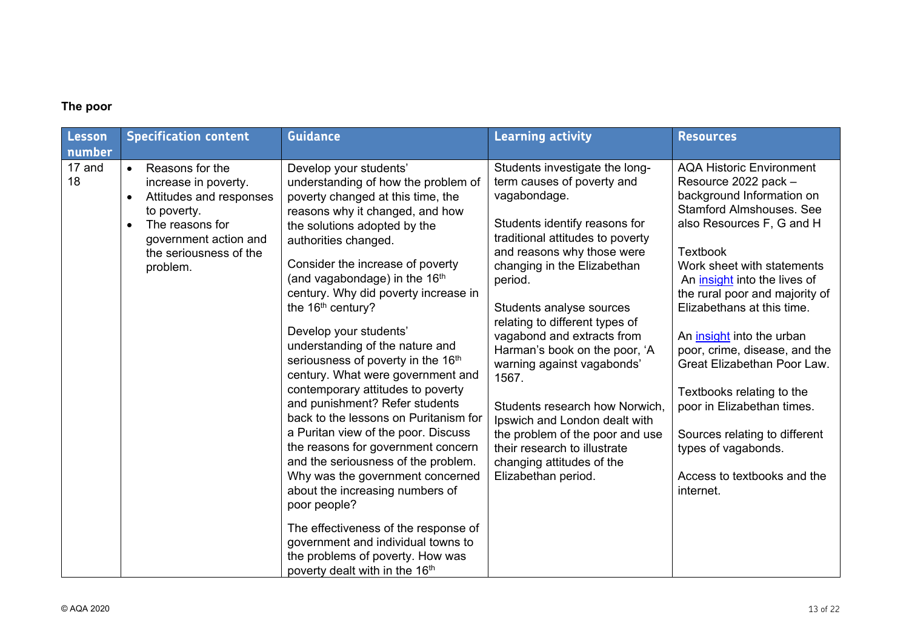#### **The poor**

| Lesson<br>number | <b>Specification content</b>                                                                                                                                                     | <b>Guidance</b>                                                                                                                                                                                                                                                                                                                                                                                                                                                                                                                                                                                                                                                                                                                                                                                                                                                                                                                                                                            | <b>Learning activity</b>                                                                                                                                                                                                                                                                                                                                                                                                                                                                                                                                                                | <b>Resources</b>                                                                                                                                                                                                                                                                                                                                                                                                                                                                                                                                                  |
|------------------|----------------------------------------------------------------------------------------------------------------------------------------------------------------------------------|--------------------------------------------------------------------------------------------------------------------------------------------------------------------------------------------------------------------------------------------------------------------------------------------------------------------------------------------------------------------------------------------------------------------------------------------------------------------------------------------------------------------------------------------------------------------------------------------------------------------------------------------------------------------------------------------------------------------------------------------------------------------------------------------------------------------------------------------------------------------------------------------------------------------------------------------------------------------------------------------|-----------------------------------------------------------------------------------------------------------------------------------------------------------------------------------------------------------------------------------------------------------------------------------------------------------------------------------------------------------------------------------------------------------------------------------------------------------------------------------------------------------------------------------------------------------------------------------------|-------------------------------------------------------------------------------------------------------------------------------------------------------------------------------------------------------------------------------------------------------------------------------------------------------------------------------------------------------------------------------------------------------------------------------------------------------------------------------------------------------------------------------------------------------------------|
| 17 and<br>18     | Reasons for the<br>$\bullet$<br>increase in poverty.<br>Attitudes and responses<br>to poverty.<br>The reasons for<br>government action and<br>the seriousness of the<br>problem. | Develop your students'<br>understanding of how the problem of<br>poverty changed at this time, the<br>reasons why it changed, and how<br>the solutions adopted by the<br>authorities changed.<br>Consider the increase of poverty<br>(and vagabondage) in the 16 <sup>th</sup><br>century. Why did poverty increase in<br>the 16 <sup>th</sup> century?<br>Develop your students'<br>understanding of the nature and<br>seriousness of poverty in the 16th<br>century. What were government and<br>contemporary attitudes to poverty<br>and punishment? Refer students<br>back to the lessons on Puritanism for<br>a Puritan view of the poor. Discuss<br>the reasons for government concern<br>and the seriousness of the problem.<br>Why was the government concerned<br>about the increasing numbers of<br>poor people?<br>The effectiveness of the response of<br>government and individual towns to<br>the problems of poverty. How was<br>poverty dealt with in the 16 <sup>th</sup> | Students investigate the long-<br>term causes of poverty and<br>vagabondage.<br>Students identify reasons for<br>traditional attitudes to poverty<br>and reasons why those were<br>changing in the Elizabethan<br>period.<br>Students analyse sources<br>relating to different types of<br>vagabond and extracts from<br>Harman's book on the poor, 'A<br>warning against vagabonds'<br>1567.<br>Students research how Norwich,<br>Ipswich and London dealt with<br>the problem of the poor and use<br>their research to illustrate<br>changing attitudes of the<br>Elizabethan period. | <b>AQA Historic Environment</b><br>Resource 2022 pack -<br>background Information on<br><b>Stamford Almshouses. See</b><br>also Resources F, G and H<br><b>Textbook</b><br>Work sheet with statements<br>An insight into the lives of<br>the rural poor and majority of<br>Elizabethans at this time.<br>An insight into the urban<br>poor, crime, disease, and the<br>Great Elizabethan Poor Law.<br>Textbooks relating to the<br>poor in Elizabethan times.<br>Sources relating to different<br>types of vagabonds.<br>Access to textbooks and the<br>internet. |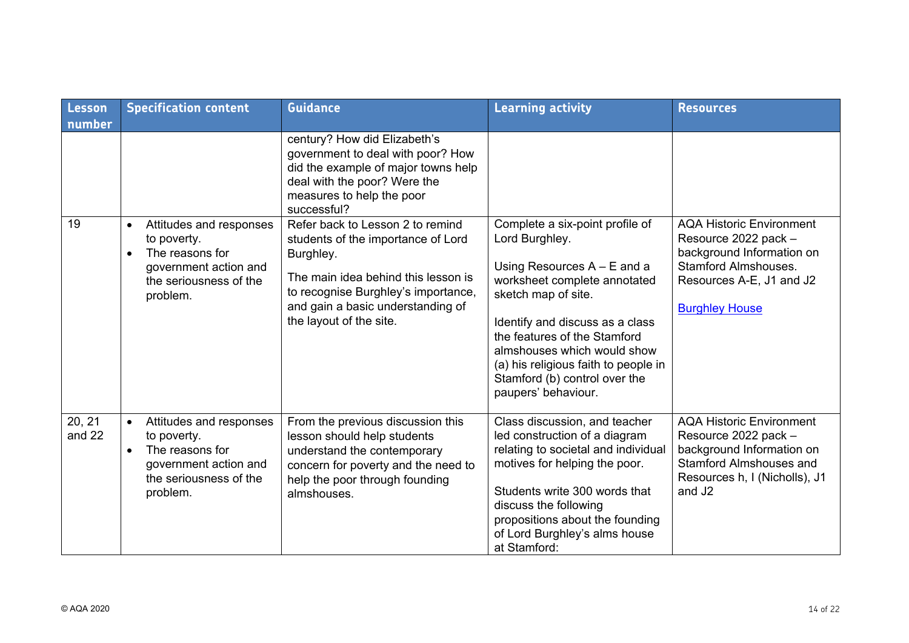| Lesson<br>number | <b>Specification content</b>                                                                                                          | <b>Guidance</b>                                                                                                                                                                                                                   | <b>Learning activity</b>                                                                                                                                                                                                                                                                                                                    | <b>Resources</b>                                                                                                                                                              |
|------------------|---------------------------------------------------------------------------------------------------------------------------------------|-----------------------------------------------------------------------------------------------------------------------------------------------------------------------------------------------------------------------------------|---------------------------------------------------------------------------------------------------------------------------------------------------------------------------------------------------------------------------------------------------------------------------------------------------------------------------------------------|-------------------------------------------------------------------------------------------------------------------------------------------------------------------------------|
|                  |                                                                                                                                       | century? How did Elizabeth's<br>government to deal with poor? How<br>did the example of major towns help<br>deal with the poor? Were the<br>measures to help the poor<br>successful?                                              |                                                                                                                                                                                                                                                                                                                                             |                                                                                                                                                                               |
| 19               | Attitudes and responses<br>to poverty.<br>The reasons for<br>$\bullet$<br>government action and<br>the seriousness of the<br>problem. | Refer back to Lesson 2 to remind<br>students of the importance of Lord<br>Burghley.<br>The main idea behind this lesson is<br>to recognise Burghley's importance,<br>and gain a basic understanding of<br>the layout of the site. | Complete a six-point profile of<br>Lord Burghley.<br>Using Resources $A - E$ and a<br>worksheet complete annotated<br>sketch map of site.<br>Identify and discuss as a class<br>the features of the Stamford<br>almshouses which would show<br>(a) his religious faith to people in<br>Stamford (b) control over the<br>paupers' behaviour. | <b>AQA Historic Environment</b><br>Resource 2022 pack -<br>background Information on<br><b>Stamford Almshouses.</b><br>Resources A-E, J1 and J2<br><b>Burghley House</b>      |
| 20, 21<br>and 22 | Attitudes and responses<br>to poverty.<br>The reasons for<br>$\bullet$<br>government action and<br>the seriousness of the<br>problem. | From the previous discussion this<br>lesson should help students<br>understand the contemporary<br>concern for poverty and the need to<br>help the poor through founding<br>almshouses.                                           | Class discussion, and teacher<br>led construction of a diagram<br>relating to societal and individual<br>motives for helping the poor.<br>Students write 300 words that<br>discuss the following<br>propositions about the founding<br>of Lord Burghley's alms house<br>at Stamford:                                                        | <b>AQA Historic Environment</b><br>Resource 2022 pack -<br>background Information on<br><b>Stamford Almshouses and</b><br>Resources h, I (Nicholls), J1<br>and J <sub>2</sub> |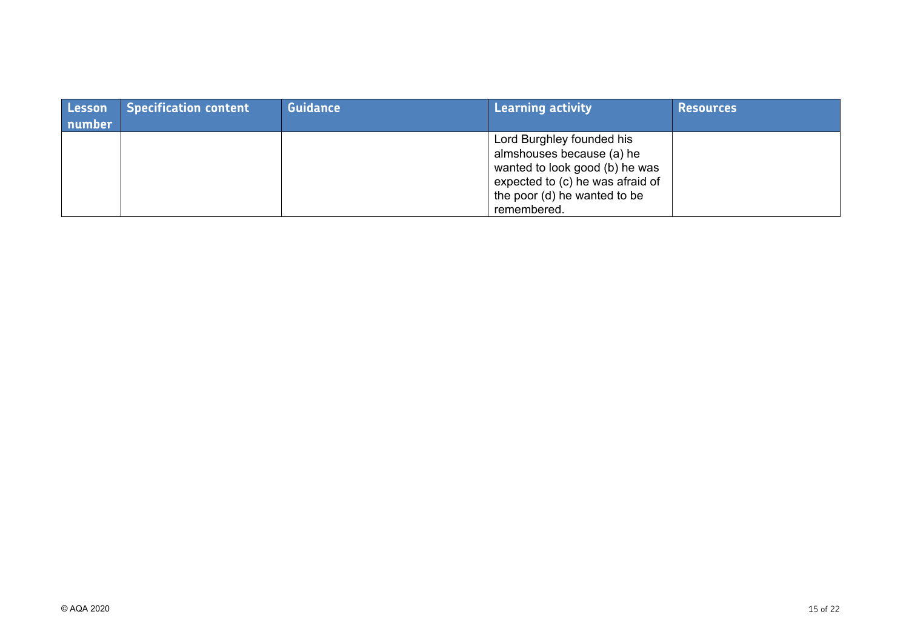| Lesson<br>number | <b>Specification content</b> | <b>Guidance</b> | Learning activity                                                                                                                                                           | Resources |
|------------------|------------------------------|-----------------|-----------------------------------------------------------------------------------------------------------------------------------------------------------------------------|-----------|
|                  |                              |                 | Lord Burghley founded his<br>almshouses because (a) he<br>wanted to look good (b) he was<br>expected to (c) he was afraid of<br>the poor (d) he wanted to be<br>remembered. |           |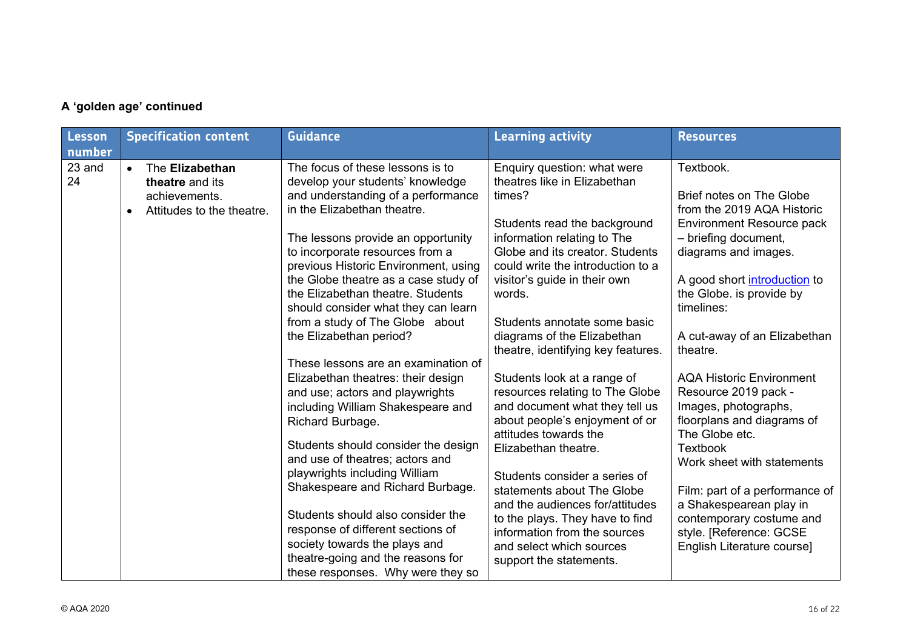|  |  |  | A 'golden age' continued |
|--|--|--|--------------------------|
|--|--|--|--------------------------|

| Lesson<br>number | <b>Specification content</b>                                                                  | <b>Guidance</b>                                                                                                                                                                                                                                                                                                                                                                                                                                                                                           | <b>Learning activity</b>                                                                                                                                                                                                                                                                                                                                                                                        | <b>Resources</b>                                                                                                                                                                                                                                                                                                                   |
|------------------|-----------------------------------------------------------------------------------------------|-----------------------------------------------------------------------------------------------------------------------------------------------------------------------------------------------------------------------------------------------------------------------------------------------------------------------------------------------------------------------------------------------------------------------------------------------------------------------------------------------------------|-----------------------------------------------------------------------------------------------------------------------------------------------------------------------------------------------------------------------------------------------------------------------------------------------------------------------------------------------------------------------------------------------------------------|------------------------------------------------------------------------------------------------------------------------------------------------------------------------------------------------------------------------------------------------------------------------------------------------------------------------------------|
| 23 and<br>24     | The Elizabethan<br>$\bullet$<br>theatre and its<br>achievements.<br>Attitudes to the theatre. | The focus of these lessons is to<br>develop your students' knowledge<br>and understanding of a performance<br>in the Elizabethan theatre.<br>The lessons provide an opportunity<br>to incorporate resources from a<br>previous Historic Environment, using<br>the Globe theatre as a case study of<br>the Elizabethan theatre. Students<br>should consider what they can learn<br>from a study of The Globe about<br>the Elizabethan period?                                                              | Enquiry question: what were<br>theatres like in Elizabethan<br>times?<br>Students read the background<br>information relating to The<br>Globe and its creator. Students<br>could write the introduction to a<br>visitor's guide in their own<br>words.<br>Students annotate some basic<br>diagrams of the Elizabethan<br>theatre, identifying key features.                                                     | Textbook.<br>Brief notes on The Globe<br>from the 2019 AQA Historic<br>Environment Resource pack<br>- briefing document,<br>diagrams and images.<br>A good short introduction to<br>the Globe. is provide by<br>timelines:<br>A cut-away of an Elizabethan<br>theatre.                                                             |
|                  |                                                                                               | These lessons are an examination of<br>Elizabethan theatres: their design<br>and use; actors and playwrights<br>including William Shakespeare and<br>Richard Burbage.<br>Students should consider the design<br>and use of theatres; actors and<br>playwrights including William<br>Shakespeare and Richard Burbage.<br>Students should also consider the<br>response of different sections of<br>society towards the plays and<br>theatre-going and the reasons for<br>these responses. Why were they so | Students look at a range of<br>resources relating to The Globe<br>and document what they tell us<br>about people's enjoyment of or<br>attitudes towards the<br>Elizabethan theatre.<br>Students consider a series of<br>statements about The Globe<br>and the audiences for/attitudes<br>to the plays. They have to find<br>information from the sources<br>and select which sources<br>support the statements. | <b>AQA Historic Environment</b><br>Resource 2019 pack -<br>Images, photographs,<br>floorplans and diagrams of<br>The Globe etc.<br><b>Textbook</b><br>Work sheet with statements<br>Film: part of a performance of<br>a Shakespearean play in<br>contemporary costume and<br>style. [Reference: GCSE<br>English Literature course] |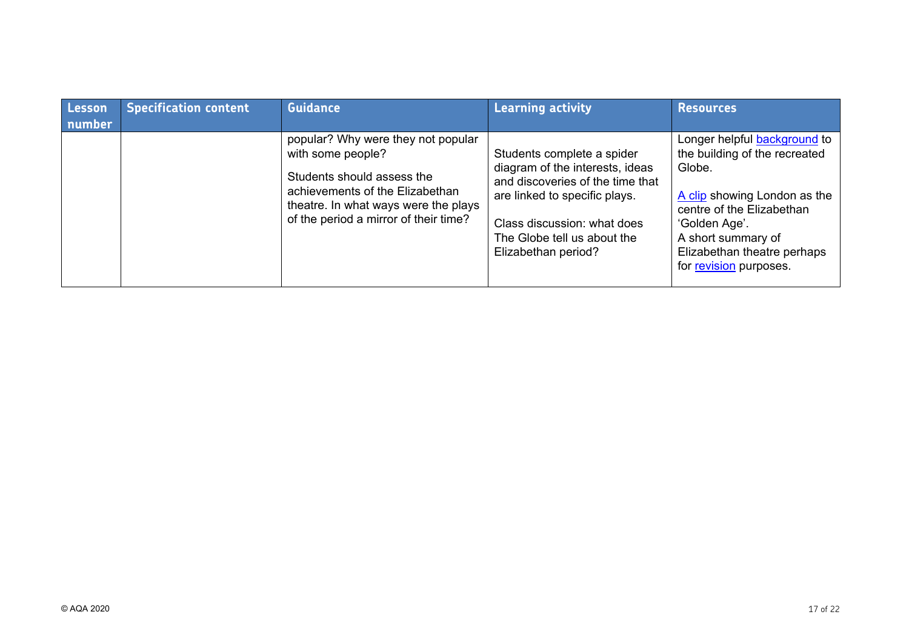| <b>Lesson</b><br>number | <b>Specification content</b> | <b>Guidance</b>                                                                                                                                                                                           | <b>Learning activity</b>                                                                                                                                                                                                | <b>Resources</b>                                                                                                                                                                                                                            |
|-------------------------|------------------------------|-----------------------------------------------------------------------------------------------------------------------------------------------------------------------------------------------------------|-------------------------------------------------------------------------------------------------------------------------------------------------------------------------------------------------------------------------|---------------------------------------------------------------------------------------------------------------------------------------------------------------------------------------------------------------------------------------------|
|                         |                              | popular? Why were they not popular<br>with some people?<br>Students should assess the<br>achievements of the Elizabethan<br>theatre. In what ways were the plays<br>of the period a mirror of their time? | Students complete a spider<br>diagram of the interests, ideas<br>and discoveries of the time that<br>are linked to specific plays.<br>Class discussion: what does<br>The Globe tell us about the<br>Elizabethan period? | Longer helpful <b>background</b> to<br>the building of the recreated<br>Globe.<br>A clip showing London as the<br>centre of the Elizabethan<br>'Golden Age'.<br>A short summary of<br>Elizabethan theatre perhaps<br>for revision purposes. |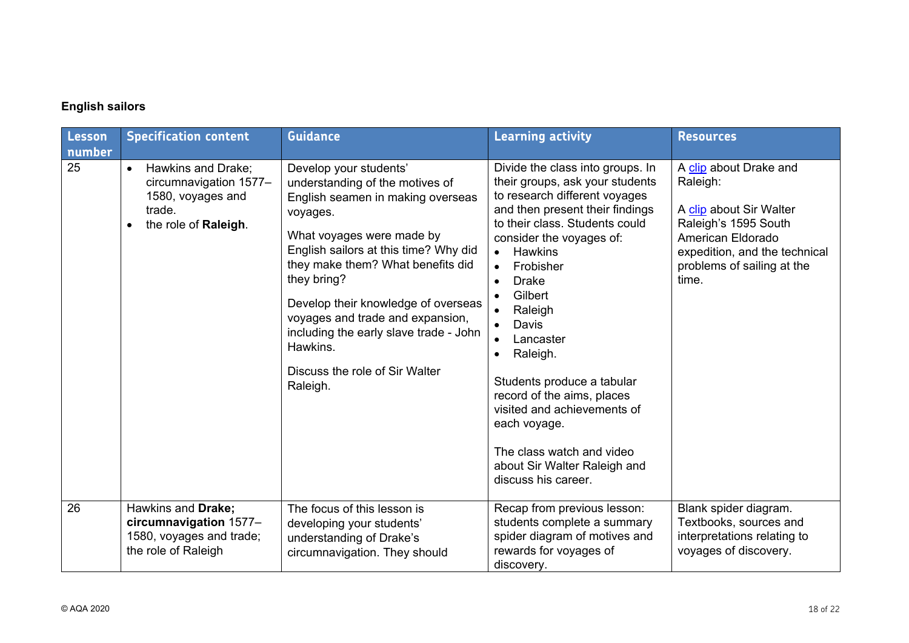## **English sailors**

| Lesson<br>number | <b>Specification content</b>                                                                                     | <b>Guidance</b>                                                                                                                                                                                                                                                                                                                                                                                                     | <b>Learning activity</b>                                                                                                                                                                                                                                                                                                                                                                                                                                                                                                      | <b>Resources</b>                                                                                                                                                                   |
|------------------|------------------------------------------------------------------------------------------------------------------|---------------------------------------------------------------------------------------------------------------------------------------------------------------------------------------------------------------------------------------------------------------------------------------------------------------------------------------------------------------------------------------------------------------------|-------------------------------------------------------------------------------------------------------------------------------------------------------------------------------------------------------------------------------------------------------------------------------------------------------------------------------------------------------------------------------------------------------------------------------------------------------------------------------------------------------------------------------|------------------------------------------------------------------------------------------------------------------------------------------------------------------------------------|
| 25               | Hawkins and Drake;<br>$\bullet$<br>circumnavigation 1577-<br>1580, voyages and<br>trade.<br>the role of Raleigh. | Develop your students'<br>understanding of the motives of<br>English seamen in making overseas<br>voyages.<br>What voyages were made by<br>English sailors at this time? Why did<br>they make them? What benefits did<br>they bring?<br>Develop their knowledge of overseas<br>voyages and trade and expansion,<br>including the early slave trade - John<br>Hawkins.<br>Discuss the role of Sir Walter<br>Raleigh. | Divide the class into groups. In<br>their groups, ask your students<br>to research different voyages<br>and then present their findings<br>to their class. Students could<br>consider the voyages of:<br><b>Hawkins</b><br>Frobisher<br>$\bullet$<br><b>Drake</b><br>Gilbert<br>Raleigh<br>Davis<br>Lancaster<br>Raleigh.<br>٠<br>Students produce a tabular<br>record of the aims, places<br>visited and achievements of<br>each voyage.<br>The class watch and video<br>about Sir Walter Raleigh and<br>discuss his career. | A clip about Drake and<br>Raleigh:<br>A clip about Sir Walter<br>Raleigh's 1595 South<br>American Eldorado<br>expedition, and the technical<br>problems of sailing at the<br>time. |
| 26               | Hawkins and Drake;<br>circumnavigation 1577-<br>1580, voyages and trade;<br>the role of Raleigh                  | The focus of this lesson is<br>developing your students'<br>understanding of Drake's<br>circumnavigation. They should                                                                                                                                                                                                                                                                                               | Recap from previous lesson:<br>students complete a summary<br>spider diagram of motives and<br>rewards for voyages of<br>discovery.                                                                                                                                                                                                                                                                                                                                                                                           | Blank spider diagram.<br>Textbooks, sources and<br>interpretations relating to<br>voyages of discovery.                                                                            |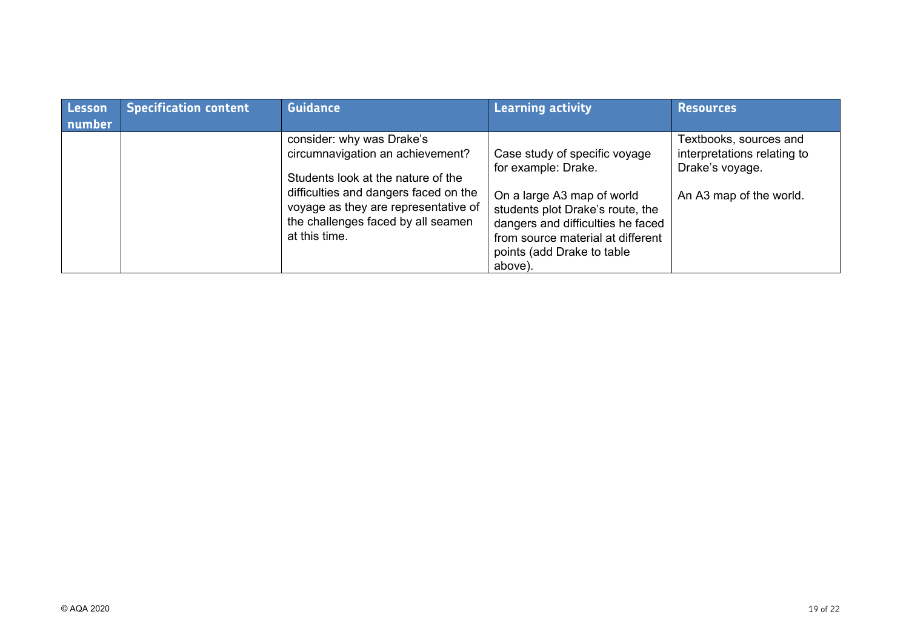| <b>Lesson</b><br>number | <b>Specification content</b> | <b>Guidance</b>                                                                                                                                                                                                                             | <b>Learning activity</b>                                                                                                                                                                                                                  | <b>Resources</b>                                                                                    |
|-------------------------|------------------------------|---------------------------------------------------------------------------------------------------------------------------------------------------------------------------------------------------------------------------------------------|-------------------------------------------------------------------------------------------------------------------------------------------------------------------------------------------------------------------------------------------|-----------------------------------------------------------------------------------------------------|
|                         |                              | consider: why was Drake's<br>circumnavigation an achievement?<br>Students look at the nature of the<br>difficulties and dangers faced on the<br>voyage as they are representative of<br>the challenges faced by all seamen<br>at this time. | Case study of specific voyage<br>for example: Drake.<br>On a large A3 map of world<br>students plot Drake's route, the<br>dangers and difficulties he faced<br>from source material at different<br>points (add Drake to table<br>above). | Textbooks, sources and<br>interpretations relating to<br>Drake's voyage.<br>An A3 map of the world. |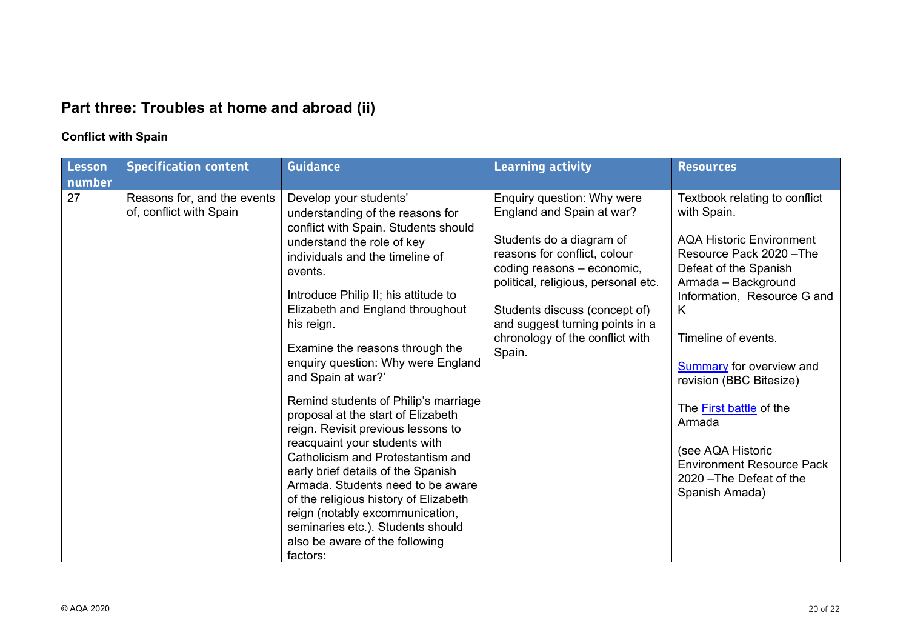# **Part three: Troubles at home and abroad (ii)**

## **Conflict with Spain**

| Lesson<br>number | <b>Specification content</b>                           | <b>Guidance</b>                                                                                                                                                                                                                                                                                                                                                                                                                                                                                                                                                                                                                                                                                                                                                                                             | <b>Learning activity</b>                                                                                                                                                                                                                                                                                  | <b>Resources</b>                                                                                                                                                                                                                                                                                                                                                                                                                 |
|------------------|--------------------------------------------------------|-------------------------------------------------------------------------------------------------------------------------------------------------------------------------------------------------------------------------------------------------------------------------------------------------------------------------------------------------------------------------------------------------------------------------------------------------------------------------------------------------------------------------------------------------------------------------------------------------------------------------------------------------------------------------------------------------------------------------------------------------------------------------------------------------------------|-----------------------------------------------------------------------------------------------------------------------------------------------------------------------------------------------------------------------------------------------------------------------------------------------------------|----------------------------------------------------------------------------------------------------------------------------------------------------------------------------------------------------------------------------------------------------------------------------------------------------------------------------------------------------------------------------------------------------------------------------------|
| 27               | Reasons for, and the events<br>of, conflict with Spain | Develop your students'<br>understanding of the reasons for<br>conflict with Spain. Students should<br>understand the role of key<br>individuals and the timeline of<br>events.<br>Introduce Philip II; his attitude to<br>Elizabeth and England throughout<br>his reign.<br>Examine the reasons through the<br>enquiry question: Why were England<br>and Spain at war?'<br>Remind students of Philip's marriage<br>proposal at the start of Elizabeth<br>reign. Revisit previous lessons to<br>reacquaint your students with<br>Catholicism and Protestantism and<br>early brief details of the Spanish<br>Armada. Students need to be aware<br>of the religious history of Elizabeth<br>reign (notably excommunication,<br>seminaries etc.). Students should<br>also be aware of the following<br>factors: | Enquiry question: Why were<br>England and Spain at war?<br>Students do a diagram of<br>reasons for conflict, colour<br>coding reasons - economic,<br>political, religious, personal etc.<br>Students discuss (concept of)<br>and suggest turning points in a<br>chronology of the conflict with<br>Spain. | Textbook relating to conflict<br>with Spain.<br><b>AQA Historic Environment</b><br>Resource Pack 2020 - The<br>Defeat of the Spanish<br>Armada - Background<br>Information, Resource G and<br>K<br>Timeline of events.<br><b>Summary</b> for overview and<br>revision (BBC Bitesize)<br>The First battle of the<br>Armada<br>(see AQA Historic<br><b>Environment Resource Pack</b><br>2020 - The Defeat of the<br>Spanish Amada) |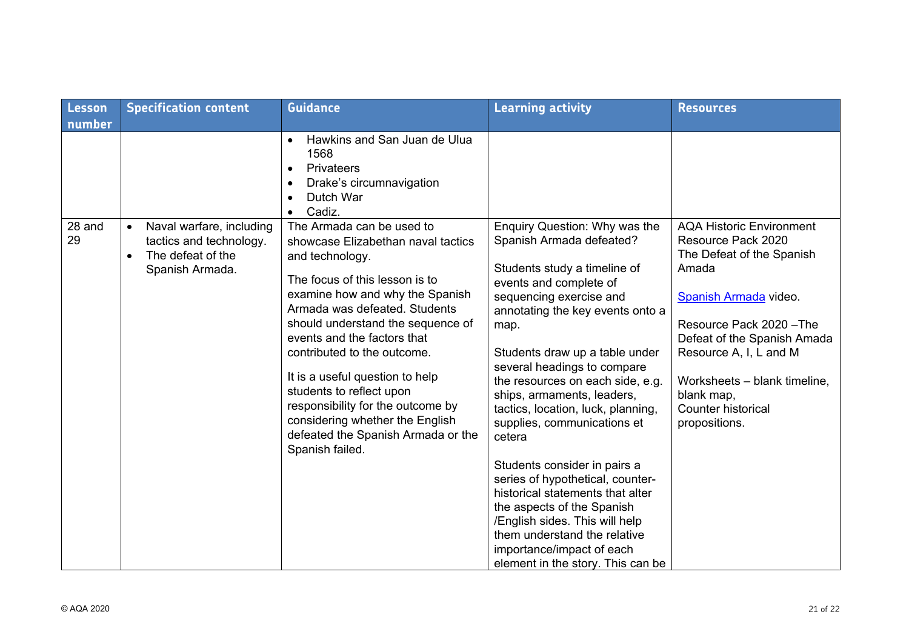| Lesson       | <b>Specification content</b>                                                                                          | <b>Guidance</b>                                                                                                                                                                                                                                                                                                                                                                                                                                                                             | <b>Learning activity</b>                                                                                                                                                                                                                                                                                                                                                                                                                                                                                                                                                                                                                                                               | <b>Resources</b>                                                                                                                                                                                                                                                                                      |
|--------------|-----------------------------------------------------------------------------------------------------------------------|---------------------------------------------------------------------------------------------------------------------------------------------------------------------------------------------------------------------------------------------------------------------------------------------------------------------------------------------------------------------------------------------------------------------------------------------------------------------------------------------|----------------------------------------------------------------------------------------------------------------------------------------------------------------------------------------------------------------------------------------------------------------------------------------------------------------------------------------------------------------------------------------------------------------------------------------------------------------------------------------------------------------------------------------------------------------------------------------------------------------------------------------------------------------------------------------|-------------------------------------------------------------------------------------------------------------------------------------------------------------------------------------------------------------------------------------------------------------------------------------------------------|
| number       |                                                                                                                       |                                                                                                                                                                                                                                                                                                                                                                                                                                                                                             |                                                                                                                                                                                                                                                                                                                                                                                                                                                                                                                                                                                                                                                                                        |                                                                                                                                                                                                                                                                                                       |
|              |                                                                                                                       | Hawkins and San Juan de Ulua<br>$\bullet$<br>1568<br>Privateers<br>$\bullet$<br>Drake's circumnavigation<br>Dutch War<br>Cadiz.                                                                                                                                                                                                                                                                                                                                                             |                                                                                                                                                                                                                                                                                                                                                                                                                                                                                                                                                                                                                                                                                        |                                                                                                                                                                                                                                                                                                       |
| 28 and<br>29 | Naval warfare, including<br>$\bullet$<br>tactics and technology.<br>The defeat of the<br>$\bullet$<br>Spanish Armada. | The Armada can be used to<br>showcase Elizabethan naval tactics<br>and technology.<br>The focus of this lesson is to<br>examine how and why the Spanish<br>Armada was defeated. Students<br>should understand the sequence of<br>events and the factors that<br>contributed to the outcome.<br>It is a useful question to help<br>students to reflect upon<br>responsibility for the outcome by<br>considering whether the English<br>defeated the Spanish Armada or the<br>Spanish failed. | Enquiry Question: Why was the<br>Spanish Armada defeated?<br>Students study a timeline of<br>events and complete of<br>sequencing exercise and<br>annotating the key events onto a<br>map.<br>Students draw up a table under<br>several headings to compare<br>the resources on each side, e.g.<br>ships, armaments, leaders,<br>tactics, location, luck, planning,<br>supplies, communications et<br>cetera<br>Students consider in pairs a<br>series of hypothetical, counter-<br>historical statements that alter<br>the aspects of the Spanish<br>/English sides. This will help<br>them understand the relative<br>importance/impact of each<br>element in the story. This can be | <b>AQA Historic Environment</b><br>Resource Pack 2020<br>The Defeat of the Spanish<br>Amada<br>Spanish Armada video.<br>Resource Pack 2020 - The<br>Defeat of the Spanish Amada<br>Resource A, I, L and M<br>Worksheets - blank timeline,<br>blank map,<br><b>Counter historical</b><br>propositions. |